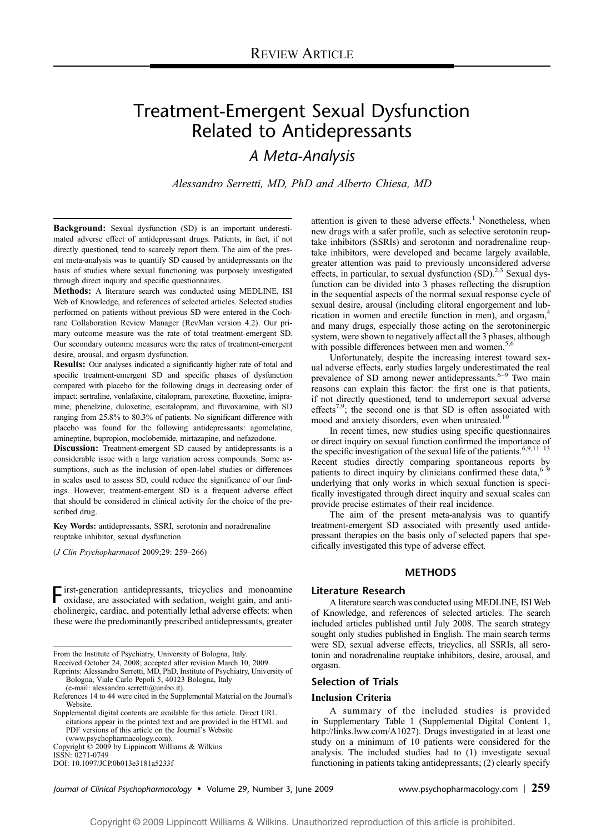# Treatment-Emergent Sexual Dysfunction Related to Antidepressants

A Meta-Analysis

Alessandro Serretti, MD, PhD and Alberto Chiesa, MD

Background: Sexual dysfunction (SD) is an important underestimated adverse effect of antidepressant drugs. Patients, in fact, if not directly questioned, tend to scarcely report them. The aim of the present meta-analysis was to quantify SD caused by antidepressants on the basis of studies where sexual functioning was purposely investigated through direct inquiry and specific questionnaires.

Methods: A literature search was conducted using MEDLINE, ISI Web of Knowledge, and references of selected articles. Selected studies performed on patients without previous SD were entered in the Cochrane Collaboration Review Manager (RevMan version 4.2). Our primary outcome measure was the rate of total treatment-emergent SD. Our secondary outcome measures were the rates of treatment-emergent desire, arousal, and orgasm dysfunction.

Results: Our analyses indicated a significantly higher rate of total and specific treatment-emergent SD and specific phases of dysfunction compared with placebo for the following drugs in decreasing order of impact: sertraline, venlafaxine, citalopram, paroxetine, fluoxetine, imipramine, phenelzine, duloxetine, escitalopram, and fluvoxamine, with SD ranging from 25.8% to 80.3% of patients. No significant difference with placebo was found for the following antidepressants: agomelatine, amineptine, bupropion, moclobemide, mirtazapine, and nefazodone.

Discussion: Treatment-emergent SD caused by antidepressants is a considerable issue with a large variation across compounds. Some assumptions, such as the inclusion of open-label studies or differences in scales used to assess SD, could reduce the significance of our findings. However, treatment-emergent SD is a frequent adverse effect that should be considered in clinical activity for the choice of the prescribed drug.

Key Words: antidepressants, SSRI, serotonin and noradrenaline reuptake inhibitor, sexual dysfunction

 $(J$  Clin Psychopharmacol 2009;29: 259-266)

 $\Gamma$  irst-generation antidepressants, tricyclics and monoamine oxidase, are associated with sedation, weight gain, and anticholinergic, cardiac, and potentially lethal adverse effects: when these were the predominantly prescribed antidepressants, greater

From the Institute of Psychiatry, University of Bologna, Italy.

Received October 24, 2008; accepted after revision March 10, 2009.

Reprints: Alessandro Serretti, MD, PhD, Institute of Psychiatry, University of Bologna, Viale Carlo Pepoli 5, 40123 Bologna, Italy

(e-mail: alessandro.serretti@unibo.it).

Supplemental digital contents are available for this article. Direct URL citations appear in the printed text and are provided in the HTML and PDF versions of this article on the Journal's Website (www.psychopharmacology.com).

Copyright  $\odot$  2009 by Lippincott Williams & Wilkins ISSN: 0271-0749

DOI: 10.1097/JCP.0b013e3181a5233f

attention is given to these adverse effects. $<sup>1</sup>$  Nonetheless, when</sup> new drugs with a safer profile, such as selective serotonin reuptake inhibitors (SSRIs) and serotonin and noradrenaline reuptake inhibitors, were developed and became largely available, greater attention was paid to previously unconsidered adverse effects, in particular, to sexual dysfunction  $(SD)$ .<sup>2,3</sup> Sexual dysfunction can be divided into 3 phases reflecting the disruption in the sequential aspects of the normal sexual response cycle of sexual desire, arousal (including clitoral engorgement and lubrication in women and erectile function in men), and orgasm,<sup>4</sup> and many drugs, especially those acting on the serotoninergic system, were shown to negatively affect all the 3 phases, although with possible differences between men and women.<sup>5,6</sup>

Unfortunately, despite the increasing interest toward sexual adverse effects, early studies largely underestimated the real prevalence of SD among newer antidepressants.<sup>6-9</sup> Two main reasons can explain this factor: the first one is that patients, if not directly questioned, tend to underreport sexual adverse effects<sup>7,9</sup>; the second one is that SD is often associated with mood and anxiety disorders, even when untreated.<sup>10</sup>

In recent times, new studies using specific questionnaires or direct inquiry on sexual function confirmed the importance of the specific investigation of the sexual life of the patients.<sup>6,9,11–13</sup> Recent studies directly comparing spontaneous reports by patients to direct inquiry by clinicians confirmed these data,  $6-9$ underlying that only works in which sexual function is specifically investigated through direct inquiry and sexual scales can provide precise estimates of their real incidence.

The aim of the present meta-analysis was to quantify treatment-emergent SD associated with presently used antidepressant therapies on the basis only of selected papers that specifically investigated this type of adverse effect.

# METHODS

# Literature Research

A literature search was conducted using MEDLINE, ISI Web of Knowledge, and references of selected articles. The search included articles published until July 2008. The search strategy sought only studies published in English. The main search terms were SD, sexual adverse effects, tricyclics, all SSRIs, all serotonin and noradrenaline reuptake inhibitors, desire, arousal, and orgasm.

# Selection of Trials

#### Inclusion Criteria

A summary of the included studies is provided in Supplementary Table 1 (Supplemental Digital Content 1, http://links.lww.com/A1027). Drugs investigated in at least one study on a minimum of 10 patients were considered for the analysis. The included studies had to (1) investigate sexual functioning in patients taking antidepressants; (2) clearly specify

Journal of Clinical Psychopharmacology & Volume 29, Number 3, June 2009 www.psychopharmacology.com <sup>|</sup> 259

References 14 to 44 were cited in the Supplemental Material on the Journal's Website.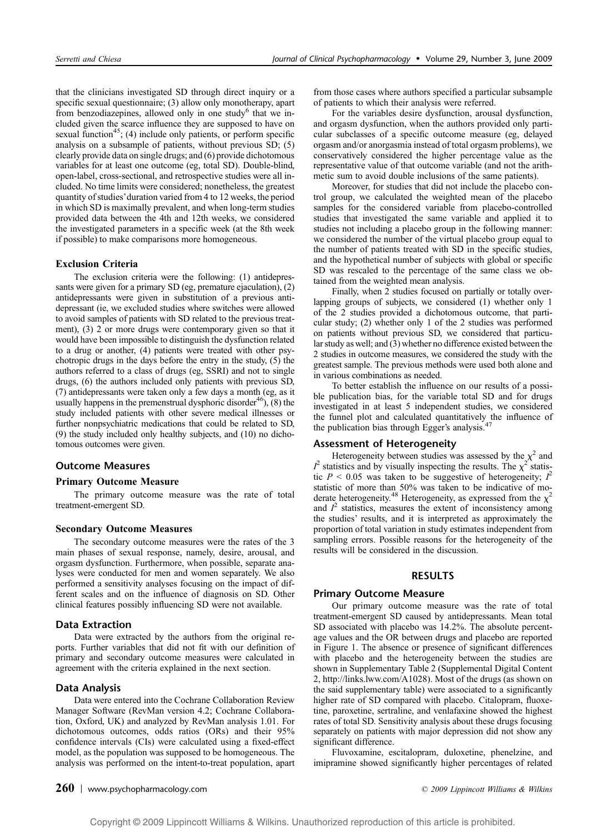that the clinicians investigated SD through direct inquiry or a specific sexual questionnaire; (3) allow only monotherapy, apart from benzodiazepines, allowed only in one study $6$  that we included given the scarce influence they are supposed to have on sexual function<sup>45</sup>; (4) include only patients, or perform specific analysis on a subsample of patients, without previous SD; (5) clearly provide data on single drugs; and (6) provide dichotomous variables for at least one outcome (eg, total SD). Double-blind, open-label, cross-sectional, and retrospective studies were all included. No time limits were considered; nonetheless, the greatest quantity of studies'duration varied from 4 to 12 weeks, the period in which SD is maximally prevalent, and when long-term studies provided data between the 4th and 12th weeks, we considered the investigated parameters in a specific week (at the 8th week if possible) to make comparisons more homogeneous.

# Exclusion Criteria

The exclusion criteria were the following: (1) antidepressants were given for a primary SD (eg, premature ejaculation), (2) antidepressants were given in substitution of a previous antidepressant (ie, we excluded studies where switches were allowed to avoid samples of patients with SD related to the previous treatment), (3) 2 or more drugs were contemporary given so that it would have been impossible to distinguish the dysfunction related to a drug or another, (4) patients were treated with other psychotropic drugs in the days before the entry in the study, (5) the authors referred to a class of drugs (eg, SSRI) and not to single drugs, (6) the authors included only patients with previous SD, (7) antidepressants were taken only a few days a month (eg, as it usually happens in the premenstrual dysphoric disorder<sup>46</sup>),  $(8)$  the study included patients with other severe medical illnesses or further nonpsychiatric medications that could be related to SD, (9) the study included only healthy subjects, and (10) no dichotomous outcomes were given.

# Outcome Measures

#### Primary Outcome Measure

The primary outcome measure was the rate of total treatment-emergent SD.

#### Secondary Outcome Measures

The secondary outcome measures were the rates of the 3 main phases of sexual response, namely, desire, arousal, and orgasm dysfunction. Furthermore, when possible, separate analyses were conducted for men and women separately. We also performed a sensitivity analyses focusing on the impact of different scales and on the influence of diagnosis on SD. Other clinical features possibly influencing SD were not available.

## Data Extraction

Data were extracted by the authors from the original reports. Further variables that did not fit with our definition of primary and secondary outcome measures were calculated in agreement with the criteria explained in the next section.

# Data Analysis

Data were entered into the Cochrane Collaboration Review Manager Software (RevMan version 4.2; Cochrane Collaboration, Oxford, UK) and analyzed by RevMan analysis 1.01. For dichotomous outcomes, odds ratios (ORs) and their 95% confidence intervals (CIs) were calculated using a fixed-effect model, as the population was supposed to be homogeneous. The analysis was performed on the intent-to-treat population, apart from those cases where authors specified a particular subsample of patients to which their analysis were referred.

For the variables desire dysfunction, arousal dysfunction, and orgasm dysfunction, when the authors provided only particular subclasses of a specific outcome measure (eg, delayed orgasm and/or anorgasmia instead of total orgasm problems), we conservatively considered the higher percentage value as the representative value of that outcome variable (and not the arithmetic sum to avoid double inclusions of the same patients).

Moreover, for studies that did not include the placebo control group, we calculated the weighted mean of the placebo samples for the considered variable from placebo-controlled studies that investigated the same variable and applied it to studies not including a placebo group in the following manner: we considered the number of the virtual placebo group equal to the number of patients treated with SD in the specific studies, and the hypothetical number of subjects with global or specific SD was rescaled to the percentage of the same class we obtained from the weighted mean analysis.

Finally, when 2 studies focused on partially or totally overlapping groups of subjects, we considered (1) whether only 1 of the 2 studies provided a dichotomous outcome, that particular study; (2) whether only 1 of the 2 studies was performed on patients without previous SD, we considered that particular study as well; and (3) whether no difference existed between the 2 studies in outcome measures, we considered the study with the greatest sample. The previous methods were used both alone and in various combinations as needed.

To better establish the influence on our results of a possible publication bias, for the variable total SD and for drugs investigated in at least 5 independent studies, we considered the funnel plot and calculated quantitatively the influence of the publication bias through Egger's analysis.<sup>4</sup>

# Assessment of Heterogeneity

Heterogeneity between studies was assessed by the  $\chi^2$  and  $I^2$  statistics and by visually inspecting the results. The  $\chi^2$  statistic  $P < 0.05$  was taken to be suggestive of heterogeneity;  $I^2$ statistic of more than 50% was taken to be indicative of moderate heterogeneity.<sup>48</sup> Heterogeneity, as expressed from the  $\chi^2$ and  $I^2$  statistics, measures the extent of inconsistency among the studies' results, and it is interpreted as approximately the proportion of total variation in study estimates independent from sampling errors. Possible reasons for the heterogeneity of the results will be considered in the discussion.

# RESULTS

#### Primary Outcome Measure

Our primary outcome measure was the rate of total treatment-emergent SD caused by antidepressants. Mean total SD associated with placebo was 14.2%. The absolute percentage values and the OR between drugs and placebo are reported in Figure 1. The absence or presence of significant differences with placebo and the heterogeneity between the studies are shown in Supplementary Table 2 (Supplemental Digital Content 2, http://links.lww.com/A1028). Most of the drugs (as shown on the said supplementary table) were associated to a significantly higher rate of SD compared with placebo. Citalopram, fluoxetine, paroxetine, sertraline, and venlafaxine showed the highest rates of total SD. Sensitivity analysis about these drugs focusing separately on patients with major depression did not show any significant difference.

Fluvoxamine, escitalopram, duloxetine, phenelzine, and imipramine showed significantly higher percentages of related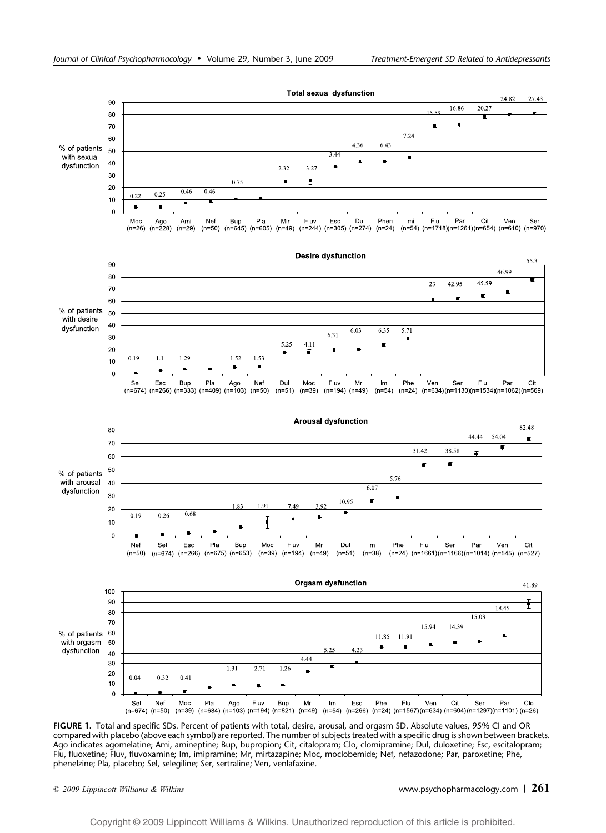

FIGURE 1. Total and specific SDs. Percent of patients with total, desire, arousal, and orgasm SD. Absolute values, 95% CI and OR compared with placebo (above each symbol) are reported. The number of subjects treated with a specific drug is shown between brackets. Ago indicates agomelatine; Ami, amineptine; Bup, bupropion; Cit, citalopram; Clo, clomipramine; Dul, duloxetine; Esc, escitalopram; Flu, fluoxetine; Fluv, fluvoxamine; Im, imipramine; Mr, mirtazapine; Moc, moclobemide; Nef, nefazodone; Par, paroxetine; Phe, phenelzine; Pla, placebo; Sel, selegiline; Ser, sertraline; Ven, venlafaxine.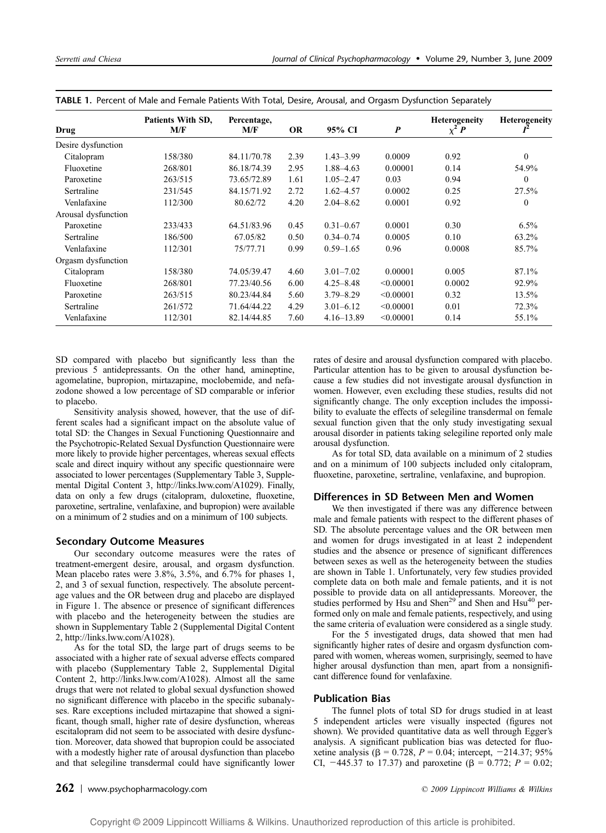| Drug                | Patients With SD,<br>M/F | Percentage,<br>M/F | <b>OR</b> | 95% CI         | $\boldsymbol{P}$ | <b>Heterogeneity</b><br>$\chi^2 P$ | <b>Heterogeneity</b> |
|---------------------|--------------------------|--------------------|-----------|----------------|------------------|------------------------------------|----------------------|
| Desire dysfunction  |                          |                    |           |                |                  |                                    |                      |
| Citalopram          | 158/380                  | 84.11/70.78        | 2.39      | $1.43 - 3.99$  | 0.0009           | 0.92                               | $\mathbf{0}$         |
| Fluoxetine          | 268/801                  | 86.18/74.39        | 2.95      | 1.88-4.63      | 0.00001          | 0.14                               | 54.9%                |
| Paroxetine          | 263/515                  | 73.65/72.89        | 1.61      | $1.05 - 2.47$  | 0.03             | 0.94                               | $\mathbf{0}$         |
| Sertraline          | 231/545                  | 84.15/71.92        | 2.72      | $1.62 - 4.57$  | 0.0002           | 0.25                               | 27.5%                |
| Venlafaxine         | 112/300                  | 80.62/72           | 4.20      | $2.04 - 8.62$  | 0.0001           | 0.92                               | $\mathbf{0}$         |
| Arousal dysfunction |                          |                    |           |                |                  |                                    |                      |
| Paroxetine          | 233/433                  | 64.51/83.96        | 0.45      | $0.31 - 0.67$  | 0.0001           | 0.30                               | $6.5\%$              |
| Sertraline          | 186/500                  | 67.05/82           | 0.50      | $0.34 - 0.74$  | 0.0005           | 0.10                               | 63.2%                |
| Venlafaxine         | 112/301                  | 75/77.71           | 0.99      | $0.59 - 1.65$  | 0.96             | 0.0008                             | 85.7%                |
| Orgasm dysfunction  |                          |                    |           |                |                  |                                    |                      |
| Citalopram          | 158/380                  | 74.05/39.47        | 4.60      | $3.01 - 7.02$  | 0.00001          | 0.005                              | 87.1%                |
| Fluoxetine          | 268/801                  | 77.23/40.56        | 6.00      | $4.25 - 8.48$  | < 0.00001        | 0.0002                             | 92.9%                |
| Paroxetine          | 263/515                  | 80.23/44.84        | 5.60      | $3.79 - 8.29$  | < 0.00001        | 0.32                               | 13.5%                |
| Sertraline          | 261/572                  | 71.64/44.22        | 4.29      | $3.01 - 6.12$  | < 0.00001        | 0.01                               | 72.3%                |
| Venlafaxine         | 112/301                  | 82.14/44.85        | 7.60      | $4.16 - 13.89$ | < 0.00001        | 0.14                               | 55.1%                |

TABLE 1. Percent of Male and Female Patients With Total, Desire, Arousal, and Orgasm Dysfunction Separately

SD compared with placebo but significantly less than the previous 5 antidepressants. On the other hand, amineptine, agomelatine, bupropion, mirtazapine, moclobemide, and nefazodone showed a low percentage of SD comparable or inferior to placebo.

Sensitivity analysis showed, however, that the use of different scales had a significant impact on the absolute value of total SD: the Changes in Sexual Functioning Questionnaire and the Psychotropic-Related Sexual Dysfunction Questionnaire were more likely to provide higher percentages, whereas sexual effects scale and direct inquiry without any specific questionnaire were associated to lower percentages (Supplementary Table 3, Supplemental Digital Content 3, http://links.lww.com/A1029). Finally, data on only a few drugs (citalopram, duloxetine, fluoxetine, paroxetine, sertraline, venlafaxine, and bupropion) were available on a minimum of 2 studies and on a minimum of 100 subjects.

# Secondary Outcome Measures

Our secondary outcome measures were the rates of treatment-emergent desire, arousal, and orgasm dysfunction. Mean placebo rates were 3.8%, 3.5%, and 6.7% for phases 1, 2, and 3 of sexual function, respectively. The absolute percentage values and the OR between drug and placebo are displayed in Figure 1. The absence or presence of significant differences with placebo and the heterogeneity between the studies are shown in Supplementary Table 2 (Supplemental Digital Content 2, http://links.lww.com/A1028).

As for the total SD, the large part of drugs seems to be associated with a higher rate of sexual adverse effects compared with placebo (Supplementary Table 2, Supplemental Digital Content 2, http://links.lww.com/A1028). Almost all the same drugs that were not related to global sexual dysfunction showed no significant difference with placebo in the specific subanalyses. Rare exceptions included mirtazapine that showed a significant, though small, higher rate of desire dysfunction, whereas escitalopram did not seem to be associated with desire dysfunction. Moreover, data showed that bupropion could be associated with a modestly higher rate of arousal dysfunction than placebo and that selegiline transdermal could have significantly lower

rates of desire and arousal dysfunction compared with placebo. Particular attention has to be given to arousal dysfunction because a few studies did not investigate arousal dysfunction in women. However, even excluding these studies, results did not significantly change. The only exception includes the impossibility to evaluate the effects of selegiline transdermal on female sexual function given that the only study investigating sexual arousal disorder in patients taking selegiline reported only male arousal dysfunction.

As for total SD, data available on a minimum of 2 studies and on a minimum of 100 subjects included only citalopram, fluoxetine, paroxetine, sertraline, venlafaxine, and bupropion.

# Differences in SD Between Men and Women

We then investigated if there was any difference between male and female patients with respect to the different phases of SD. The absolute percentage values and the OR between men and women for drugs investigated in at least 2 independent studies and the absence or presence of significant differences between sexes as well as the heterogeneity between the studies are shown in Table 1. Unfortunately, very few studies provided complete data on both male and female patients, and it is not possible to provide data on all antidepressants. Moreover, the studies performed by Hsu and Shen<sup>29</sup> and Shen and Hsu<sup>40</sup> performed only on male and female patients, respectively, and using the same criteria of evaluation were considered as a single study.

For the 5 investigated drugs, data showed that men had significantly higher rates of desire and orgasm dysfunction compared with women, whereas women, surprisingly, seemed to have higher arousal dysfunction than men, apart from a nonsignificant difference found for venlafaxine.

# Publication Bias

The funnel plots of total SD for drugs studied in at least 5 independent articles were visually inspected (figures not shown). We provided quantitative data as well through Egger's analysis. A significant publication bias was detected for fluoxetine analysis ( $\beta = 0.728$ ,  $P = 0.04$ ; intercept, -214.37; 95% CI,  $-445.37$  to 17.37) and paroxetine ( $\beta = 0.772$ ;  $P = 0.02$ ;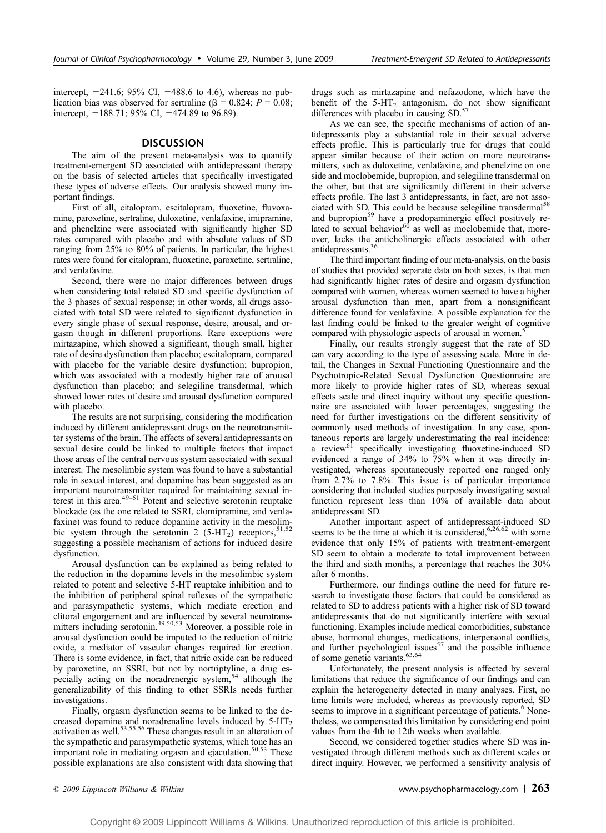intercept,  $-241.6$ ; 95% CI,  $-488.6$  to 4.6), whereas no publication bias was observed for sertraline ( $\beta = 0.824$ ;  $P = 0.08$ ; intercept,  $-188.71$ ; 95% CI,  $-474.89$  to 96.89).

#### **DISCUSSION**

The aim of the present meta-analysis was to quantify treatment-emergent SD associated with antidepressant therapy on the basis of selected articles that specifically investigated these types of adverse effects. Our analysis showed many important findings.

First of all, citalopram, escitalopram, fluoxetine, fluvoxamine, paroxetine, sertraline, duloxetine, venlafaxine, imipramine, and phenelzine were associated with significantly higher SD rates compared with placebo and with absolute values of SD ranging from 25% to 80% of patients. In particular, the highest rates were found for citalopram, fluoxetine, paroxetine, sertraline, and venlafaxine.

Second, there were no major differences between drugs when considering total related SD and specific dysfunction of the 3 phases of sexual response; in other words, all drugs associated with total SD were related to significant dysfunction in every single phase of sexual response, desire, arousal, and orgasm though in different proportions. Rare exceptions were mirtazapine, which showed a significant, though small, higher rate of desire dysfunction than placebo; escitalopram, compared with placebo for the variable desire dysfunction; bupropion, which was associated with a modestly higher rate of arousal dysfunction than placebo; and selegiline transdermal, which showed lower rates of desire and arousal dysfunction compared with placebo.

The results are not surprising, considering the modification induced by different antidepressant drugs on the neurotransmitter systems of the brain. The effects of several antidepressants on sexual desire could be linked to multiple factors that impact those areas of the central nervous system associated with sexual interest. The mesolimbic system was found to have a substantial role in sexual interest, and dopamine has been suggested as an important neurotransmitter required for maintaining sexual interest in this area. $49-51$  Potent and selective serotonin reuptake blockade (as the one related to SSRI, clomipramine, and venlafaxine) was found to reduce dopamine activity in the mesolimbic system through the serotonin 2 (5-HT<sub>2</sub>) receptors,  $51,52$ suggesting a possible mechanism of actions for induced desire dysfunction.

Arousal dysfunction can be explained as being related to the reduction in the dopamine levels in the mesolimbic system related to potent and selective 5-HT reuptake inhibition and to the inhibition of peripheral spinal reflexes of the sympathetic and parasympathetic systems, which mediate erection and clitoral engorgement and are influenced by several neurotrans-mitters including serotonin.49,50,53 Moreover, a possible role in arousal dysfunction could be imputed to the reduction of nitric oxide, a mediator of vascular changes required for erection. There is some evidence, in fact, that nitric oxide can be reduced by paroxetine, an SSRI, but not by nortriptyline, a drug especially acting on the noradrenergic system, $54$  although the generalizability of this finding to other SSRIs needs further investigations.

Finally, orgasm dysfunction seems to be linked to the decreased dopamine and noradrenaline levels induced by  $5-HT_2$ activation as well.53,55,56 These changes result in an alteration of the sympathetic and parasympathetic systems, which tone has an important role in mediating orgasm and ejaculation. $50,53$  These possible explanations are also consistent with data showing that drugs such as mirtazapine and nefazodone, which have the benefit of the  $5-\text{HT}_2$  antagonism, do not show significant differences with placebo in causing SD.<sup>57</sup>

As we can see, the specific mechanisms of action of antidepressants play a substantial role in their sexual adverse effects profile. This is particularly true for drugs that could appear similar because of their action on more neurotransmitters, such as duloxetine, venlafaxine, and phenelzine on one side and moclobemide, bupropion, and selegiline transdermal on the other, but that are significantly different in their adverse effects profile. The last 3 antidepressants, in fact, are not associated with SD. This could be because selegiline transdermal<sup>58</sup> and bupropion<sup>59</sup> have a prodopaminergic effect positively related to sexual behavior $60$  as well as moclobemide that, moreover, lacks the anticholinergic effects associated with other antidepressants.<sup>36</sup>

The third important finding of our meta-analysis, on the basis of studies that provided separate data on both sexes, is that men had significantly higher rates of desire and orgasm dysfunction compared with women, whereas women seemed to have a higher arousal dysfunction than men, apart from a nonsignificant difference found for venlafaxine. A possible explanation for the last finding could be linked to the greater weight of cognitive compared with physiologic aspects of arousal in women.<sup>5</sup>

Finally, our results strongly suggest that the rate of SD can vary according to the type of assessing scale. More in detail, the Changes in Sexual Functioning Questionnaire and the Psychotropic-Related Sexual Dysfunction Questionnaire are more likely to provide higher rates of SD, whereas sexual effects scale and direct inquiry without any specific questionnaire are associated with lower percentages, suggesting the need for further investigations on the different sensitivity of commonly used methods of investigation. In any case, spontaneous reports are largely underestimating the real incidence: a review<sup>61</sup> specifically investigating fluoxetine-induced SD evidenced a range of 34% to 75% when it was directly investigated, whereas spontaneously reported one ranged only from 2.7% to 7.8%. This issue is of particular importance considering that included studies purposely investigating sexual function represent less than 10% of available data about antidepressant SD.

Another important aspect of antidepressant-induced SD seems to be the time at which it is considered,<sup>6,26,62</sup> with some evidence that only 15% of patients with treatment-emergent SD seem to obtain a moderate to total improvement between the third and sixth months, a percentage that reaches the 30% after 6 months.

Furthermore, our findings outline the need for future research to investigate those factors that could be considered as related to SD to address patients with a higher risk of SD toward antidepressants that do not significantly interfere with sexual functioning. Examples include medical comorbidities, substance abuse, hormonal changes, medications, interpersonal conflicts, and further psychological issues $57$  and the possible influence of some genetic variants.<sup>63,64</sup>

Unfortunately, the present analysis is affected by several limitations that reduce the significance of our findings and can explain the heterogeneity detected in many analyses. First, no time limits were included, whereas as previously reported, SD seems to improve in a significant percentage of patients.<sup>6</sup> Nonetheless, we compensated this limitation by considering end point values from the 4th to 12th weeks when available.

Second, we considered together studies where SD was investigated through different methods such as different scales or direct inquiry. However, we performed a sensitivity analysis of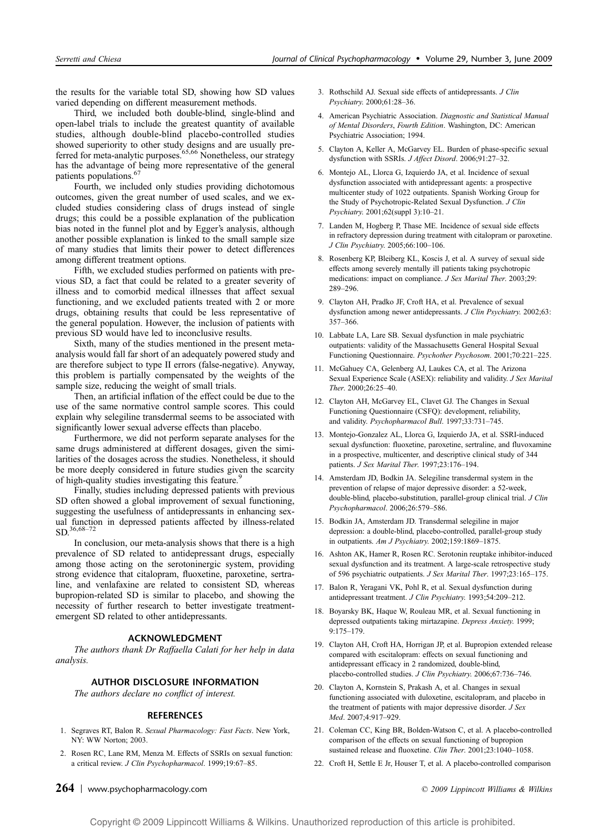the results for the variable total SD, showing how SD values varied depending on different measurement methods.

Third, we included both double-blind, single-blind and open-label trials to include the greatest quantity of available studies, although double-blind placebo-controlled studies showed superiority to other study designs and are usually pre-<br>ferred for meta-analytic purposes.<sup>65,66</sup> Nonetheless, our strategy has the advantage of being more representative of the general patients populations.<sup>67</sup>

Fourth, we included only studies providing dichotomous outcomes, given the great number of used scales, and we excluded studies considering class of drugs instead of single drugs; this could be a possible explanation of the publication bias noted in the funnel plot and by Egger's analysis, although another possible explanation is linked to the small sample size of many studies that limits their power to detect differences among different treatment options.

Fifth, we excluded studies performed on patients with previous SD, a fact that could be related to a greater severity of illness and to comorbid medical illnesses that affect sexual functioning, and we excluded patients treated with 2 or more drugs, obtaining results that could be less representative of the general population. However, the inclusion of patients with previous SD would have led to inconclusive results.

Sixth, many of the studies mentioned in the present metaanalysis would fall far short of an adequately powered study and are therefore subject to type II errors (false-negative). Anyway, this problem is partially compensated by the weights of the sample size, reducing the weight of small trials.

Then, an artificial inflation of the effect could be due to the use of the same normative control sample scores. This could explain why selegiline transdermal seems to be associated with significantly lower sexual adverse effects than placebo.

Furthermore, we did not perform separate analyses for the same drugs administered at different dosages, given the similarities of the dosages across the studies. Nonetheless, it should be more deeply considered in future studies given the scarcity of high-quality studies investigating this feature.<sup>9</sup>

Finally, studies including depressed patients with previous SD often showed a global improvement of sexual functioning, suggesting the usefulness of antidepressants in enhancing sexual function in depressed patients affected by illness-related  $SD.<sup>36,68–72</sup>$ 

In conclusion, our meta-analysis shows that there is a high prevalence of SD related to antidepressant drugs, especially among those acting on the serotoninergic system, providing strong evidence that citalopram, fluoxetine, paroxetine, sertraline, and venlafaxine are related to consistent SD, whereas bupropion-related SD is similar to placebo, and showing the necessity of further research to better investigate treatmentemergent SD related to other antidepressants.

## ACKNOWLEDGMENT

The authors thank Dr Raffaella Calati for her help in data analysis.

# AUTHOR DISCLOSURE INFORMATION

The authors declare no conflict of interest.

## **REFERENCES**

- 1. Segraves RT, Balon R. Sexual Pharmacology: Fast Facts. New York, NY: WW Norton; 2003.
- 2. Rosen RC, Lane RM, Menza M. Effects of SSRIs on sexual function: a critical review. J Clin Psychopharmacol. 1999;19:67-85.

3. Rothschild AJ. Sexual side effects of antidepressants. J Clin Psychiatry. 2000;61:28-36.

- 4. American Psychiatric Association. Diagnostic and Statistical Manual of Mental Disorders, Fourth Edition. Washington, DC: American Psychiatric Association; 1994.
- 5. Clayton A, Keller A, McGarvey EL. Burden of phase-specific sexual dysfunction with SSRIs. J Affect Disord. 2006;91:27-32.
- 6. Montejo AL, Llorca G, Izquierdo JA, et al. Incidence of sexual dysfunction associated with antidepressant agents: a prospective multicenter study of 1022 outpatients. Spanish Working Group for the Study of Psychotropic-Related Sexual Dysfunction. J Clin Psychiatry. 2001;62(suppl 3):10-21.
- 7. Landen M, Hogberg P, Thase ME. Incidence of sexual side effects in refractory depression during treatment with citalopram or paroxetine. J Clin Psychiatry. 2005;66:100-106.
- 8. Rosenberg KP, Bleiberg KL, Koscis J, et al. A survey of sexual side effects among severely mentally ill patients taking psychotropic medications: impact on compliance. J Sex Marital Ther. 2003;29: 289-296.
- 9. Clayton AH, Pradko JF, Croft HA, et al. Prevalence of sexual dysfunction among newer antidepressants. J Clin Psychiatry. 2002;63:  $357 - 366$
- 10. Labbate LA, Lare SB. Sexual dysfunction in male psychiatric outpatients: validity of the Massachusetts General Hospital Sexual Functioning Questionnaire. Psychother Psychosom. 2001;70:221-225.
- 11. McGahuey CA, Gelenberg AJ, Laukes CA, et al. The Arizona Sexual Experience Scale (ASEX): reliability and validity. J Sex Marital Ther. 2000;26:25-40.
- 12. Clayton AH, McGarvey EL, Clavet GJ. The Changes in Sexual Functioning Questionnaire (CSFQ): development, reliability, and validity. Psychopharmacol Bull. 1997;33:731-745.
- 13. Montejo-Gonzalez AL, Llorca G, Izquierdo JA, et al. SSRI-induced sexual dysfunction: fluoxetine, paroxetine, sertraline, and fluvoxamine in a prospective, multicenter, and descriptive clinical study of 344 patients. J Sex Marital Ther. 1997;23:176-194.
- 14. Amsterdam JD, Bodkin JA. Selegiline transdermal system in the prevention of relapse of major depressive disorder: a 52-week, double-blind, placebo-substitution, parallel-group clinical trial. J Clin Psychopharmacol. 2006;26:579-586.
- 15. Bodkin JA, Amsterdam JD. Transdermal selegiline in major depression: a double-blind, placebo-controlled, parallel-group study in outpatients. Am J Psychiatry. 2002;159:1869-1875.
- 16. Ashton AK, Hamer R, Rosen RC. Serotonin reuptake inhibitor-induced sexual dysfunction and its treatment. A large-scale retrospective study of 596 psychiatric outpatients. J Sex Marital Ther. 1997;23:165-175.
- 17. Balon R, Yeragani VK, Pohl R, et al. Sexual dysfunction during antidepressant treatment. J Clin Psychiatry. 1993;54:209-212.
- 18. Boyarsky BK, Haque W, Rouleau MR, et al. Sexual functioning in depressed outpatients taking mirtazapine. Depress Anxiety. 1999;  $9:175 - 179.$
- 19. Clayton AH, Croft HA, Horrigan JP, et al. Bupropion extended release compared with escitalopram: effects on sexual functioning and antidepressant efficacy in 2 randomized, double-blind, placebo-controlled studies. J Clin Psychiatry. 2006;67:736-746.
- 20. Clayton A, Kornstein S, Prakash A, et al. Changes in sexual functioning associated with duloxetine, escitalopram, and placebo in the treatment of patients with major depressive disorder. J Sex Med. 2007;4:917-929.
- 21. Coleman CC, King BR, Bolden-Watson C, et al. A placebo-controlled comparison of the effects on sexual functioning of bupropion sustained release and fluoxetine. Clin Ther. 2001;23:1040-1058.
- 22. Croft H, Settle E Jr, Houser T, et al. A placebo-controlled comparison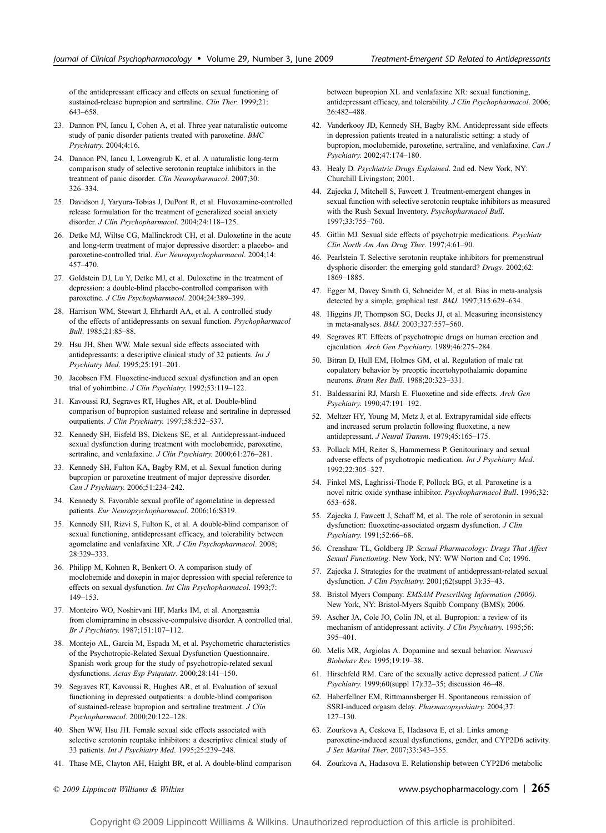of the antidepressant efficacy and effects on sexual functioning of sustained-release bupropion and sertraline. Clin Ther. 1999;21: 643-658.

- 23. Dannon PN, Iancu I, Cohen A, et al. Three year naturalistic outcome study of panic disorder patients treated with paroxetine. BMC Psychiatry. 2004;4:16.
- 24. Dannon PN, Iancu I, Lowengrub K, et al. A naturalistic long-term comparison study of selective serotonin reuptake inhibitors in the treatment of panic disorder. Clin Neuropharmacol. 2007;30: 326-334.
- 25. Davidson J, Yaryura-Tobias J, DuPont R, et al. Fluvoxamine-controlled release formulation for the treatment of generalized social anxiety disorder. J Clin Psychopharmacol. 2004;24:118-125.
- 26. Detke MJ, Wiltse CG, Mallinckrodt CH, et al. Duloxetine in the acute and long-term treatment of major depressive disorder: a placebo- and paroxetine-controlled trial. Eur Neuropsychopharmacol. 2004;14: 457-470
- 27. Goldstein DJ, Lu Y, Detke MJ, et al. Duloxetine in the treatment of depression: a double-blind placebo-controlled comparison with paroxetine. J Clin Psychopharmacol. 2004;24:389-399.
- 28. Harrison WM, Stewart J, Ehrhardt AA, et al. A controlled study of the effects of antidepressants on sexual function. Psychopharmacol Bull. 1985:21:85-88.
- 29. Hsu JH, Shen WW. Male sexual side effects associated with antidepressants: a descriptive clinical study of 32 patients. Int J Psychiatry Med. 1995;25:191-201.
- 30. Jacobsen FM. Fluoxetine-induced sexual dysfunction and an open trial of yohimbine. J Clin Psychiatry. 1992;53:119-122.
- 31. Kavoussi RJ, Segraves RT, Hughes AR, et al. Double-blind comparison of bupropion sustained release and sertraline in depressed outpatients. J Clin Psychiatry. 1997;58:532-537.
- 32. Kennedy SH, Eisfeld BS, Dickens SE, et al. Antidepressant-induced sexual dysfunction during treatment with moclobemide, paroxetine, sertraline, and venlafaxine. J Clin Psychiatry. 2000;61:276-281.
- 33. Kennedy SH, Fulton KA, Bagby RM, et al. Sexual function during bupropion or paroxetine treatment of major depressive disorder. Can J Psychiatry. 2006;51:234-242.
- 34. Kennedy S. Favorable sexual profile of agomelatine in depressed patients. Eur Neuropsychopharmacol. 2006;16:S319.
- 35. Kennedy SH, Rizvi S, Fulton K, et al. A double-blind comparison of sexual functioning, antidepressant efficacy, and tolerability between agomelatine and venlafaxine XR. J Clin Psychopharmacol. 2008; 28:329-333.
- 36. Philipp M, Kohnen R, Benkert O. A comparison study of moclobemide and doxepin in major depression with special reference to effects on sexual dysfunction. Int Clin Psychopharmacol. 1993;7:  $149 - 153$ .
- 37. Monteiro WO, Noshirvani HF, Marks IM, et al. Anorgasmia from clomipramine in obsessive-compulsive disorder. A controlled trial. Br J Psychiatry. 1987;151:107-112.
- 38. Montejo AL, Garcia M, Espada M, et al. Psychometric characteristics of the Psychotropic-Related Sexual Dysfunction Questionnaire. Spanish work group for the study of psychotropic-related sexual dysfunctions. Actas Esp Psiquiatr. 2000;28:141-150.
- 39. Segraves RT, Kavoussi R, Hughes AR, et al. Evaluation of sexual functioning in depressed outpatients: a double-blind comparison of sustained-release bupropion and sertraline treatment. J Clin Psychopharmacol. 2000;20:122-128.
- 40. Shen WW, Hsu JH. Female sexual side effects associated with selective serotonin reuptake inhibitors: a descriptive clinical study of 33 patients. Int J Psychiatry Med. 1995;25:239-248.
- 41. Thase ME, Clayton AH, Haight BR, et al. A double-blind comparison

between bupropion XL and venlafaxine XR: sexual functioning, antidepressant efficacy, and tolerability. J Clin Psychopharmacol. 2006; 26:482-488.

- 42. Vanderkooy JD, Kennedy SH, Bagby RM. Antidepressant side effects in depression patients treated in a naturalistic setting: a study of bupropion, moclobemide, paroxetine, sertraline, and venlafaxine. Can J Psychiatry. 2002;47:174-180.
- 43. Healy D. Psychiatric Drugs Explained. 2nd ed. New York, NY: Churchill Livingston; 2001.
- 44. Zajecka J, Mitchell S, Fawcett J. Treatment-emergent changes in sexual function with selective serotonin reuptake inhibitors as measured with the Rush Sexual Inventory. Psychopharmacol Bull. 1997;33:755-760.
- 45. Gitlin MJ. Sexual side effects of psychotrpic medications. Psychiatr Clin North Am Ann Drug Ther. 1997;4:61-90.
- 46. Pearlstein T. Selective serotonin reuptake inhibitors for premenstrual dysphoric disorder: the emerging gold standard? Drugs. 2002;62: 1869-1885.
- 47. Egger M, Davey Smith G, Schneider M, et al. Bias in meta-analysis detected by a simple, graphical test. BMJ. 1997;315:629-634.
- 48. Higgins JP, Thompson SG, Deeks JJ, et al. Measuring inconsistency in meta-analyses. BMJ. 2003;327:557-560.
- 49. Segraves RT. Effects of psychotropic drugs on human erection and ejaculation. Arch Gen Psychiatry. 1989;46:275-284.
- 50. Bitran D, Hull EM, Holmes GM, et al. Regulation of male rat copulatory behavior by preoptic incertohypothalamic dopamine neurons. Brain Res Bull. 1988;20:323-331.
- 51. Baldessarini RJ, Marsh E. Fluoxetine and side effects. Arch Gen Psychiatry. 1990;47:191-192.
- 52. Meltzer HY, Young M, Metz J, et al. Extrapyramidal side effects and increased serum prolactin following fluoxetine, a new antidepressant. J Neural Transm. 1979;45:165-175.
- 53. Pollack MH, Reiter S, Hammerness P. Genitourinary and sexual adverse effects of psychotropic medication. Int J Psychiatry Med. 1992:22:305-327.
- 54. Finkel MS, Laghrissi-Thode F, Pollock BG, et al. Paroxetine is a novel nitric oxide synthase inhibitor. Psychopharmacol Bull. 1996;32: 653-658.
- 55. Zajecka J, Fawcett J, Schaff M, et al. The role of serotonin in sexual dysfunction: fluoxetine-associated orgasm dysfunction. *J Clin* Psychiatry. 1991;52:66-68.
- 56. Crenshaw TL, Goldberg JP. Sexual Pharmacology: Drugs That Affect Sexual Functioning. New York, NY: WW Norton and Co; 1996.
- 57. Zajecka J. Strategies for the treatment of antidepressant-related sexual dysfunction. J Clin Psychiatry. 2001;62(suppl 3):35-43.
- 58. Bristol Myers Company. EMSAM Prescribing Information (2006). New York, NY: Bristol-Myers Squibb Company (BMS); 2006.
- 59. Ascher JA, Cole JO, Colin JN, et al. Bupropion: a review of its mechanism of antidepressant activity. J Clin Psychiatry. 1995;56: 395-401.
- 60. Melis MR, Argiolas A. Dopamine and sexual behavior. Neurosci Biobehav Rev. 1995;19:19-38.
- 61. Hirschfeld RM. Care of the sexually active depressed patient. J Clin Psychiatry. 1999;60(suppl 17):32-35; discussion 46-48.
- 62. Haberfellner EM, Rittmannsberger H. Spontaneous remission of SSRI-induced orgasm delay. Pharmacopsychiatry. 2004;37:  $127 - 130.$
- 63. Zourkova A, Ceskova E, Hadasova E, et al. Links among paroxetine-induced sexual dysfunctions, gender, and CYP2D6 activity. J Sex Marital Ther. 2007;33:343-355.
- 64. Zourkova A, Hadasova E. Relationship between CYP2D6 metabolic

© 2009 Lippincott Williams & Wilkins www.psychopharmacology.com |  $265$